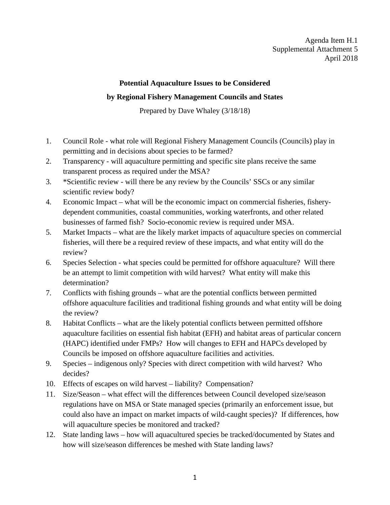## **Potential Aquaculture Issues to be Considered by Regional Fishery Management Councils and States**

Prepared by Dave Whaley (3/18/18)

- 1. Council Role what role will Regional Fishery Management Councils (Councils) play in permitting and in decisions about species to be farmed?
- 2. Transparency will aquaculture permitting and specific site plans receive the same transparent process as required under the MSA?
- 3. \*Scientific review will there be any review by the Councils' SSCs or any similar scientific review body?
- 4. Economic Impact what will be the economic impact on commercial fisheries, fisherydependent communities, coastal communities, working waterfronts, and other related businesses of farmed fish? Socio-economic review is required under MSA.
- 5. Market Impacts what are the likely market impacts of aquaculture species on commercial fisheries, will there be a required review of these impacts, and what entity will do the review?
- 6. Species Selection what species could be permitted for offshore aquaculture? Will there be an attempt to limit competition with wild harvest? What entity will make this determination?
- 7. Conflicts with fishing grounds what are the potential conflicts between permitted offshore aquaculture facilities and traditional fishing grounds and what entity will be doing the review?
- 8. Habitat Conflicts what are the likely potential conflicts between permitted offshore aquaculture facilities on essential fish habitat (EFH) and habitat areas of particular concern (HAPC) identified under FMPs? How will changes to EFH and HAPCs developed by Councils be imposed on offshore aquaculture facilities and activities.
- 9. Species indigenous only? Species with direct competition with wild harvest? Who decides?
- 10. Effects of escapes on wild harvest liability? Compensation?
- 11. Size/Season what effect will the differences between Council developed size/season regulations have on MSA or State managed species (primarily an enforcement issue, but could also have an impact on market impacts of wild-caught species)? If differences, how will aquaculture species be monitored and tracked?
- 12. State landing laws how will aquacultured species be tracked/documented by States and how will size/season differences be meshed with State landing laws?